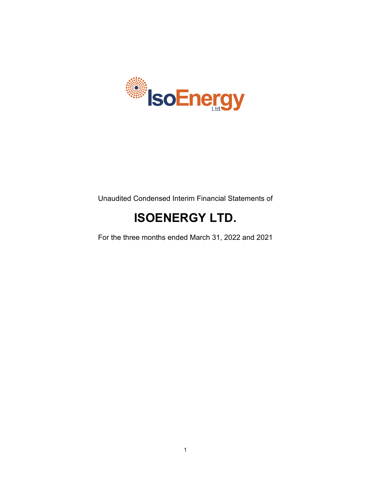

Unaudited Condensed Interim Financial Statements of

# **ISOENERGY LTD.**

For the three months ended March 31, 2022 and 2021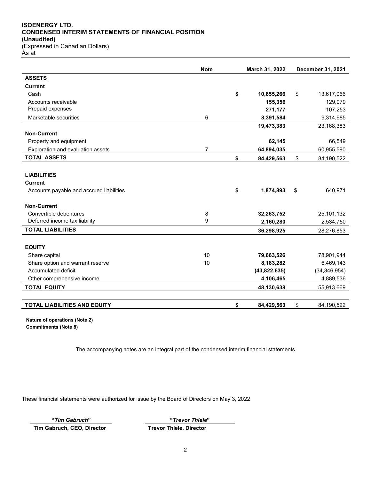## **ISOENERGY LTD. CONDENSED INTERIM STATEMENTS OF FINANCIAL POSITION (Unaudited)** (Expressed in Canadian Dollars)

As at

|                                          | <b>Note</b>    | March 31, 2022   |    | December 31, 2021 |
|------------------------------------------|----------------|------------------|----|-------------------|
| <b>ASSETS</b>                            |                |                  |    |                   |
| <b>Current</b>                           |                |                  |    |                   |
| Cash                                     |                | \$<br>10,655,266 | \$ | 13,617,066        |
| Accounts receivable                      |                | 155,356          |    | 129,079           |
| Prepaid expenses                         |                | 271,177          |    | 107,253           |
| Marketable securities                    | 6              | 8,391,584        |    | 9,314,985         |
|                                          |                | 19,473,383       |    | 23,168,383        |
| <b>Non-Current</b>                       |                |                  |    |                   |
| Property and equipment                   |                | 62,145           |    | 66,549            |
| Exploration and evaluation assets        | $\overline{7}$ | 64,894,035       |    | 60,955,590        |
| <b>TOTAL ASSETS</b>                      |                | \$<br>84,429,563 | \$ | 84,190,522        |
|                                          |                |                  |    |                   |
| <b>LIABILITIES</b>                       |                |                  |    |                   |
| <b>Current</b>                           |                |                  |    |                   |
| Accounts payable and accrued liabilities |                | \$<br>1,874,893  | \$ | 640,971           |
| <b>Non-Current</b>                       |                |                  |    |                   |
| Convertible debentures                   | 8              | 32,263,752       |    | 25,101,132        |
| Deferred income tax liability            | 9              | 2,160,280        |    | 2,534,750         |
| <b>TOTAL LIABILITIES</b>                 |                | 36,298,925       |    | 28,276,853        |
|                                          |                |                  |    |                   |
| <b>EQUITY</b>                            |                |                  |    |                   |
| Share capital                            | 10             | 79,663,526       |    | 78,901,944        |
| Share option and warrant reserve         | 10             | 8,183,282        |    | 6,469,143         |
| Accumulated deficit                      |                | (43,822,635)     |    | (34, 346, 954)    |
| Other comprehensive income               |                | 4,106,465        |    | 4,889,536         |
| <b>TOTAL EQUITY</b>                      |                | 48,130,638       |    | 55,913,669        |
|                                          |                |                  |    |                   |
| <b>TOTAL LIABILITIES AND EQUITY</b>      |                | \$<br>84,429,563 | \$ | 84,190,522        |

**Nature of operations (Note 2) Commitments (Note 8)**

The accompanying notes are an integral part of the condensed interim financial statements

These financial statements were authorized for issue by the Board of Directors on May 3, 2022

**Tim Gabruch, CEO, Director Trevor Thiele, Director**

**"***Tim Gabruch***" "***Trevor Thiele***"**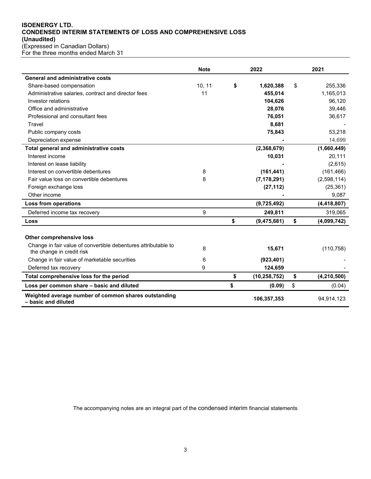# **ISOENERGY LTD. CONDENSED INTERIM STATEMENTS OF LOSS AND COMPREHENSIVE LOSS (Unaudited)** (Expressed in Canadian Dollars)

|  |  | For the three months ended March 31 |  |
|--|--|-------------------------------------|--|

|                                                                                             | <b>Note</b> | 2022                 | 2021                |
|---------------------------------------------------------------------------------------------|-------------|----------------------|---------------------|
| <b>General and administrative costs</b>                                                     |             |                      |                     |
| Share-based compensation                                                                    | 10, 11      | \$<br>1,620,388      | \$<br>255,336       |
| Administrative salaries, contract and director fees                                         | 11          | 455.014              | 1,165,013           |
| Investor relations                                                                          |             | 104,626              | 96,120              |
| Office and administrative                                                                   |             | 28,076               | 39,446              |
| Professional and consultant fees                                                            |             | 76,051               | 36,617              |
| Travel                                                                                      |             | 8,681                |                     |
| Public company costs                                                                        |             | 75,843               | 53,218              |
| Depreciation expense                                                                        |             |                      | 14,699              |
| Total general and administrative costs                                                      |             | (2,368,679)          | (1,660,449)         |
| Interest income                                                                             |             | 10,031               | 20,111              |
| Interest on lease liability                                                                 |             |                      | (2,615)             |
| Interest on convertible debentures                                                          | 8           | (161, 441)           | (161, 466)          |
| Fair value loss on convertible debentures                                                   | 8           | (7, 178, 291)        | (2,598,114)         |
| Foreign exchange loss                                                                       |             | (27, 112)            | (25, 361)           |
| Other income                                                                                |             |                      | 9,087               |
| Loss from operations                                                                        |             | (9,725,492)          | (4, 418, 807)       |
| Deferred income tax recovery                                                                | 9           | 249,811              | 319,065             |
| Loss                                                                                        |             | \$<br>(9,475,681)    | \$<br>(4,099,742)   |
|                                                                                             |             |                      |                     |
| <b>Other comprehensive loss</b>                                                             |             |                      |                     |
| Change in fair value of convertible debentures attributable to<br>the change in credit risk | 8           | 15,671               | (110, 758)          |
| Change in fair value of marketable securities                                               | 6           | (923, 401)           |                     |
| Deferred tax recovery                                                                       | 9           | 124,659              |                     |
| Total comprehensive loss for the period                                                     |             | \$<br>(10, 258, 752) | \$<br>(4, 210, 500) |
| Loss per common share - basic and diluted                                                   |             | \$<br>(0.09)         | \$<br>(0.04)        |
| Weighted average number of common shares outstanding<br>- basic and diluted                 |             | 106,357,353          | 94,914,123          |

The accompanying notes are an integral part of the condensed interim financial statements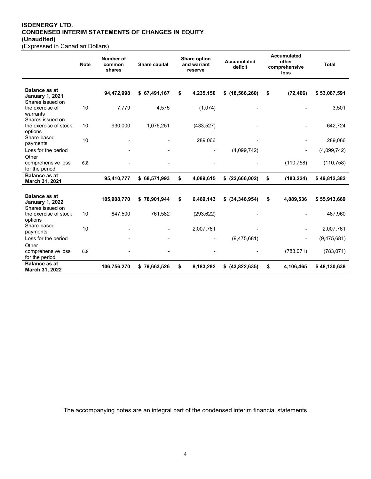### **ISOENERGY LTD. CONDENSED INTERIM STATEMENTS OF CHANGES IN EQUITY (Unaudited)** (Expressed in Canadian Dollars)

| Number of<br><b>Note</b><br>Share capital<br>common<br>shares | <b>Share option</b><br>and warrant<br>reserve |
|---------------------------------------------------------------|-----------------------------------------------|

|                                                                    | <b>Note</b> | Number of<br>common<br>shares | Share capital | <b>Share option</b><br>and warrant<br>reserve | <b>Accumulated</b><br>deficit | other<br>comprehensive<br>loss | <b>Total</b> |
|--------------------------------------------------------------------|-------------|-------------------------------|---------------|-----------------------------------------------|-------------------------------|--------------------------------|--------------|
| <b>Balance as at</b><br><b>January 1, 2021</b><br>Shares issued on |             | 94,472,998                    | \$67,491,167  | \$<br>4,235,150                               | $$$ (18,566,260)              | \$<br>(72, 466)                | \$53,087,591 |
| the exercise of<br>warrants<br>Shares issued on                    | 10          | 7,779                         | 4,575         | (1,074)                                       |                               |                                | 3,501        |
| the exercise of stock<br>options                                   | 10          | 930,000                       | 1,076,251     | (433, 527)                                    |                               |                                | 642,724      |
| Share-based<br>payments                                            | 10          |                               |               | 289,066                                       |                               |                                | 289,066      |
| Loss for the period                                                |             |                               |               |                                               | (4,099,742)                   |                                | (4,099,742)  |
| Other<br>comprehensive loss<br>for the period                      | 6,8         |                               |               |                                               |                               | (110, 758)                     | (110, 758)   |
| <b>Balance as at</b><br>March 31, 2021                             |             | 95,410,777                    | \$68,571,993  | \$<br>4,089,615                               | \$ (22,666,002)               | \$<br>(183, 224)               | \$49,812,382 |
|                                                                    |             |                               |               |                                               |                               |                                |              |
| <b>Balance as at</b><br><b>January 1, 2022</b><br>Shares issued on |             | 105,908,770                   | \$78,901,944  | \$<br>6,469,143                               | $$$ $(34,346,954)$            | \$<br>4,889,536                | \$55,913,669 |
| the exercise of stock<br>options                                   | 10          | 847,500                       | 761,582       | (293, 622)                                    |                               |                                | 467,960      |
| Share-based<br>payments                                            | 10          |                               |               | 2,007,761                                     |                               |                                | 2,007,761    |
| Loss for the period                                                |             |                               |               |                                               | (9,475,681)                   |                                | (9,475,681)  |
| Other<br>comprehensive loss<br>for the period                      | 6,8         |                               |               |                                               |                               | (783, 071)                     | (783, 071)   |
| <b>Balance as at</b><br>March 31, 2022                             |             | 106,756,270                   | \$79,663,526  | \$<br>8,183,282                               | \$ (43,822,635)               | \$<br>4,106,465                | \$48,130,638 |

**Accumulated** 

The accompanying notes are an integral part of the condensed interim financial statements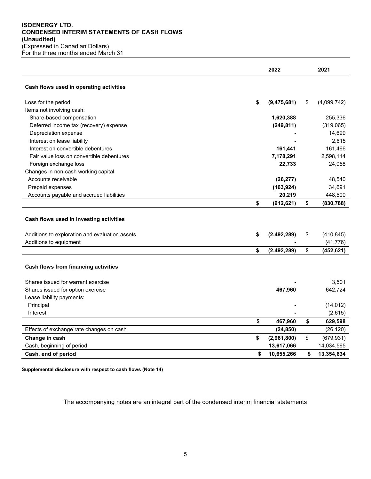## **ISOENERGY LTD. CONDENSED INTERIM STATEMENTS OF CASH FLOWS (Unaudited)** (Expressed in Canadian Dollars) For the three months ended March 31

|                                                                                                                     | 2022                | 2021                          |
|---------------------------------------------------------------------------------------------------------------------|---------------------|-------------------------------|
| Cash flows used in operating activities                                                                             |                     |                               |
| Loss for the period                                                                                                 | \$<br>(9, 475, 681) | \$<br>(4,099,742)             |
| Items not involving cash:                                                                                           |                     |                               |
| Share-based compensation                                                                                            | 1,620,388           | 255,336                       |
| Deferred income tax (recovery) expense                                                                              | (249, 811)          | (319,065)                     |
| Depreciation expense                                                                                                |                     | 14,699                        |
| Interest on lease liability                                                                                         |                     | 2,615                         |
| Interest on convertible debentures                                                                                  | 161,441             | 161,466                       |
| Fair value loss on convertible debentures                                                                           | 7,178,291           | 2,598,114                     |
| Foreign exchange loss                                                                                               | 22,733              | 24,058                        |
| Changes in non-cash working capital                                                                                 |                     |                               |
| Accounts receivable                                                                                                 | (26, 277)           | 48,540                        |
| Prepaid expenses                                                                                                    | (163, 924)          | 34,691                        |
| Accounts payable and accrued liabilities                                                                            | 20,219              | 448,500                       |
|                                                                                                                     | \$<br>(912, 621)    | \$<br>(830, 788)              |
| Cash flows used in investing activities<br>Additions to exploration and evaluation assets<br>Additions to equipment | \$<br>(2, 492, 289) | \$<br>(410, 845)<br>(41, 776) |
|                                                                                                                     | \$<br>(2, 492, 289) | \$<br>(452, 621)              |
| Cash flows from financing activities                                                                                |                     |                               |
| Shares issued for warrant exercise                                                                                  |                     | 3,501                         |
| Shares issued for option exercise                                                                                   | 467,960             | 642,724                       |
| Lease liability payments:                                                                                           |                     |                               |
| Principal                                                                                                           |                     | (14, 012)                     |
| Interest                                                                                                            |                     | (2,615)                       |
|                                                                                                                     | \$<br>467,960       | \$<br>629,598                 |
| Effects of exchange rate changes on cash                                                                            | (24, 850)           | (26, 120)                     |
| Change in cash                                                                                                      | \$<br>(2,961,800)   | \$<br>(679, 931)              |
| Cash, beginning of period                                                                                           | 13,617,066          | 14,034,565                    |
| Cash, end of period                                                                                                 | \$<br>10,655,266    | \$<br>13,354,634              |

**Supplemental disclosure with respect to cash flows (Note 14)**

The accompanying notes are an integral part of the condensed interim financial statements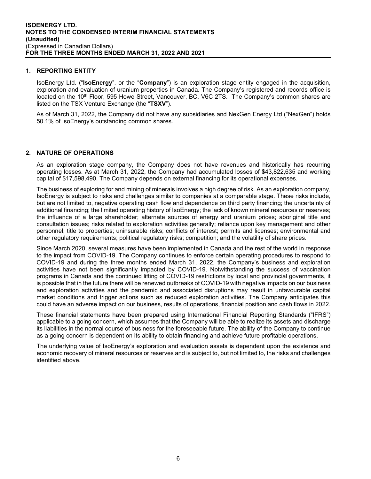#### **1. REPORTING ENTITY**

IsoEnergy Ltd. ("**IsoEnergy**", or the "**Company**") is an exploration stage entity engaged in the acquisition, exploration and evaluation of uranium properties in Canada. The Company's registered and records office is located on the 10<sup>th</sup> Floor, 595 Howe Street, Vancouver, BC, V6C 2TS. The Company's common shares are listed on the TSX Venture Exchange (the "**TSXV**").

As of March 31, 2022, the Company did not have any subsidiaries and NexGen Energy Ltd ("NexGen") holds 50.1% of IsoEnergy's outstanding common shares.

# **2. NATURE OF OPERATIONS**

As an exploration stage company, the Company does not have revenues and historically has recurring operating losses. As at March 31, 2022, the Company had accumulated losses of \$43,822,635 and working capital of \$17,598,490. The Company depends on external financing for its operational expenses.

The business of exploring for and mining of minerals involves a high degree of risk. As an exploration company, IsoEnergy is subject to risks and challenges similar to companies at a comparable stage. These risks include, but are not limited to, negative operating cash flow and dependence on third party financing; the uncertainty of additional financing; the limited operating history of IsoEnergy; the lack of known mineral resources or reserves; the influence of a large shareholder; alternate sources of energy and uranium prices; aboriginal title and consultation issues; risks related to exploration activities generally; reliance upon key management and other personnel; title to properties; uninsurable risks; conflicts of interest; permits and licenses; environmental and other regulatory requirements; political regulatory risks; competition; and the volatility of share prices.

Since March 2020, several measures have been implemented in Canada and the rest of the world in response to the impact from COVID-19. The Company continues to enforce certain operating procedures to respond to COVID-19 and during the three months ended March 31, 2022, the Company's business and exploration activities have not been significantly impacted by COVID-19. Notwithstanding the success of vaccination programs in Canada and the continued lifting of COVID-19 restrictions by local and provincial governments, it is possible that in the future there will be renewed outbreaks of COVID-19 with negative impacts on our business and exploration activities and the pandemic and associated disruptions may result in unfavourable capital market conditions and trigger actions such as reduced exploration activities. The Company anticipates this could have an adverse impact on our business, results of operations, financial position and cash flows in 2022.

These financial statements have been prepared using International Financial Reporting Standards ("IFRS") applicable to a going concern, which assumes that the Company will be able to realize its assets and discharge its liabilities in the normal course of business for the foreseeable future. The ability of the Company to continue as a going concern is dependent on its ability to obtain financing and achieve future profitable operations.

The underlying value of IsoEnergy's exploration and evaluation assets is dependent upon the existence and economic recovery of mineral resources or reserves and is subject to, but not limited to, the risks and challenges identified above.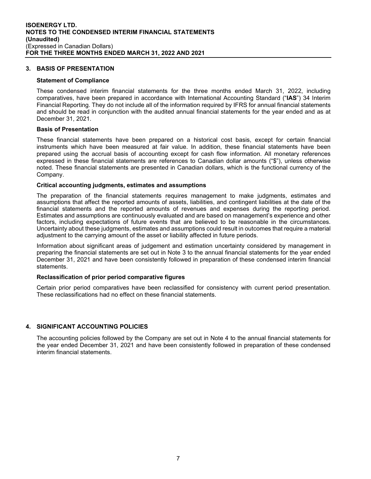## **3. BASIS OF PRESENTATION**

#### **Statement of Compliance**

These condensed interim financial statements for the three months ended March 31, 2022, including comparatives, have been prepared in accordance with International Accounting Standard ("**IAS**") 34 Interim Financial Reporting. They do not include all of the information required by IFRS for annual financial statements and should be read in conjunction with the audited annual financial statements for the year ended and as at December 31, 2021.

#### **Basis of Presentation**

These financial statements have been prepared on a historical cost basis, except for certain financial instruments which have been measured at fair value. In addition, these financial statements have been prepared using the accrual basis of accounting except for cash flow information. All monetary references expressed in these financial statements are references to Canadian dollar amounts ("\$"), unless otherwise noted. These financial statements are presented in Canadian dollars, which is the functional currency of the Company.

#### **Critical accounting judgments, estimates and assumptions**

The preparation of the financial statements requires management to make judgments, estimates and assumptions that affect the reported amounts of assets, liabilities, and contingent liabilities at the date of the financial statements and the reported amounts of revenues and expenses during the reporting period. Estimates and assumptions are continuously evaluated and are based on management's experience and other factors, including expectations of future events that are believed to be reasonable in the circumstances. Uncertainty about these judgments, estimates and assumptions could result in outcomes that require a material adjustment to the carrying amount of the asset or liability affected in future periods.

Information about significant areas of judgement and estimation uncertainty considered by management in preparing the financial statements are set out in Note 3 to the annual financial statements for the year ended December 31, 2021 and have been consistently followed in preparation of these condensed interim financial statements.

#### **Reclassification of prior period comparative figures**

Certain prior period comparatives have been reclassified for consistency with current period presentation. These reclassifications had no effect on these financial statements.

### **4. SIGNIFICANT ACCOUNTING POLICIES**

The accounting policies followed by the Company are set out in Note 4 to the annual financial statements for the year ended December 31, 2021 and have been consistently followed in preparation of these condensed interim financial statements.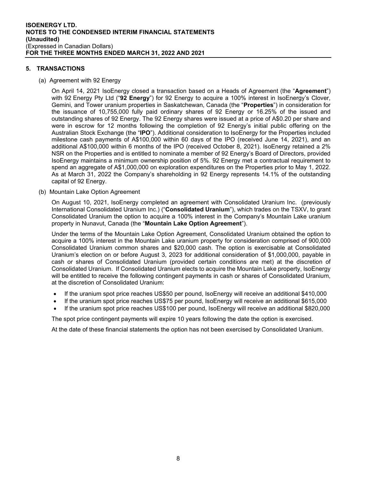## **5. TRANSACTIONS**

(a) Agreement with 92 Energy

On April 14, 2021 IsoEnergy closed a transaction based on a Heads of Agreement (the "**Agreement**") with 92 Energy Pty Ltd ("**92 Energy**") for 92 Energy to acquire a 100% interest in IsoEnergy's Clover, Gemini, and Tower uranium properties in Saskatchewan, Canada (the "**Properties**") in consideration for the issuance of 10,755,000 fully paid ordinary shares of 92 Energy or 16.25% of the issued and outstanding shares of 92 Energy. The 92 Energy shares were issued at a price of A\$0.20 per share and were in escrow for 12 months following the completion of 92 Energy's initial public offering on the Australian Stock Exchange (the "**IPO**"). Additional consideration to IsoEnergy for the Properties included milestone cash payments of A\$100,000 within 60 days of the IPO (received June 14, 2021), and an additional A\$100,000 within 6 months of the IPO (received October 8, 2021). IsoEnergy retained a 2% NSR on the Properties and is entitled to nominate a member of 92 Energy's Board of Directors, provided IsoEnergy maintains a minimum ownership position of 5%. 92 Energy met a contractual requirement to spend an aggregate of A\$1,000,000 on exploration expenditures on the Properties prior to May 1, 2022. As at March 31, 2022 the Company's shareholding in 92 Energy represents 14.1% of the outstanding capital of 92 Energy.

(b) Mountain Lake Option Agreement

On August 10, 2021, IsoEnergy completed an agreement with Consolidated Uranium Inc. (previously International Consolidated Uranium Inc.) ("**Consolidated Uranium**"), which trades on the TSXV, to grant Consolidated Uranium the option to acquire a 100% interest in the Company's Mountain Lake uranium property in Nunavut, Canada (the "**Mountain Lake Option Agreement**").

Under the terms of the Mountain Lake Option Agreement, Consolidated Uranium obtained the option to acquire a 100% interest in the Mountain Lake uranium property for consideration comprised of 900,000 Consolidated Uranium common shares and \$20,000 cash. The option is exercisable at Consolidated Uranium's election on or before August 3, 2023 for additional consideration of \$1,000,000, payable in cash or shares of Consolidated Uranium (provided certain conditions are met) at the discretion of Consolidated Uranium. If Consolidated Uranium elects to acquire the Mountain Lake property, IsoEnergy will be entitled to receive the following contingent payments in cash or shares of Consolidated Uranium, at the discretion of Consolidated Uranium:

- If the uranium spot price reaches US\$50 per pound, IsoEnergy will receive an additional \$410,000
- If the uranium spot price reaches US\$75 per pound, IsoEnergy will receive an additional \$615,000
- If the uranium spot price reaches US\$100 per pound, IsoEnergy will receive an additional \$820,000

The spot price contingent payments will expire 10 years following the date the option is exercised.

At the date of these financial statements the option has not been exercised by Consolidated Uranium.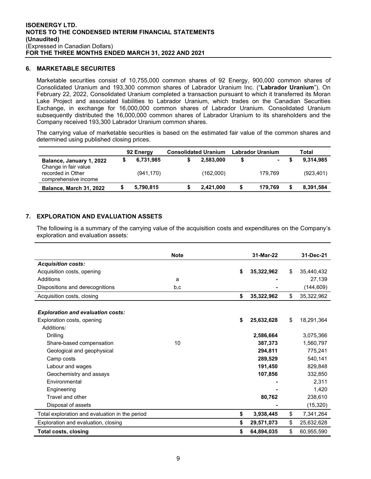#### **6. MARKETABLE SECURITES**

Marketable securities consist of 10,755,000 common shares of 92 Energy, 900,000 common shares of Consolidated Uranium and 193,300 common shares of Labrador Uranium Inc. ("**Labrador Uranium**"). On February 22, 2022, Consolidated Uranium completed a transaction pursuant to which it transferred its Moran Lake Project and associated liabilities to Labrador Uranium, which trades on the Canadian Securities Exchange, in exchange for 16,000,000 common shares of Labrador Uranium. Consolidated Uranium subsequently distributed the 16,000,000 common shares of Labrador Uranium to its shareholders and the Company received 193,300 Labrador Uranium common shares.

The carrying value of marketable securities is based on the estimated fair value of the common shares and determined using published closing prices.

|                                                  | 92 Energy  | <b>Consolidated Uranium</b> |   | <b>Labrador Uranium</b>  | Total      |
|--------------------------------------------------|------------|-----------------------------|---|--------------------------|------------|
| Balance, January 1, 2022<br>Change in fair value | 6,731,985  | 2,583,000                   | S | $\overline{\phantom{0}}$ | 9,314,985  |
| recorded in Other<br>comprehensive income        | (941, 170) | (162,000)                   |   | 179.769                  | (923, 401) |
| Balance, March 31, 2022                          | 5,790,815  | 2,421,000                   | S | 179.769                  | 8,391,584  |

# **7. EXPLORATION AND EVALUATION ASSETS**

The following is a summary of the carrying value of the acquisition costs and expenditures on the Company's exploration and evaluation assets:

|                                                | <b>Note</b> | 31-Mar-22        | 31-Dec-21        |
|------------------------------------------------|-------------|------------------|------------------|
| <b>Acquisition costs:</b>                      |             |                  |                  |
| Acquisition costs, opening                     |             | \$<br>35,322,962 | \$<br>35,440,432 |
| Additions                                      | a           |                  | 27,139           |
| Dispositions and derecognitions                | b,c         |                  | (144, 609)       |
| Acquisition costs, closing                     |             | \$<br>35,322,962 | \$<br>35,322,962 |
|                                                |             |                  |                  |
| <b>Exploration and evaluation costs:</b>       |             |                  |                  |
| Exploration costs, opening                     |             | \$<br>25,632,628 | \$<br>18,291,364 |
| Additions:                                     |             |                  |                  |
| Drilling                                       |             | 2,586,664        | 3,075,366        |
| Share-based compensation                       | 10          | 387,373          | 1,560,797        |
| Geological and geophysical                     |             | 294,811          | 775,241          |
| Camp costs                                     |             | 289.529          | 540.141          |
| Labour and wages                               |             | 191,450          | 829,848          |
| Geochemistry and assays                        |             | 107,856          | 332,850          |
| Fnvironmental                                  |             |                  | 2.311            |
| Engineering                                    |             |                  | 1,420            |
| Travel and other                               |             | 80,762           | 238,610          |
| Disposal of assets                             |             |                  | (15, 320)        |
| Total exploration and evaluation in the period |             | \$<br>3,938,445  | \$<br>7,341,264  |
| Exploration and evaluation, closing            |             | \$<br>29,571,073 | \$<br>25,632,628 |
| <b>Total costs, closing</b>                    |             | \$<br>64,894,035 | \$<br>60,955,590 |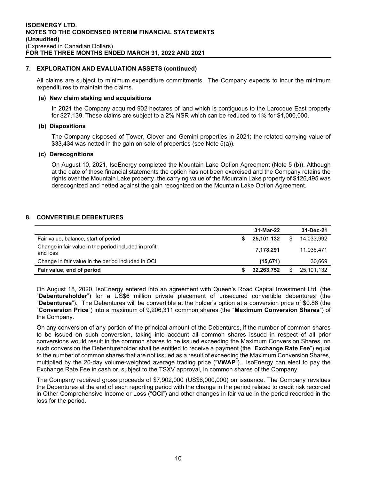#### **7. EXPLORATION AND EVALUATION ASSETS (continued)**

All claims are subject to minimum expenditure commitments. The Company expects to incur the minimum expenditures to maintain the claims.

#### **(a) New claim staking and acquisitions**

In 2021 the Company acquired 902 hectares of land which is contiguous to the Larocque East property for \$27,139. These claims are subject to a 2% NSR which can be reduced to 1% for \$1,000,000.

#### **(b) Dispositions**

The Company disposed of Tower, Clover and Gemini properties in 2021; the related carrying value of \$33,434 was netted in the gain on sale of properties (see Note 5(a)).

#### **(c) Derecognitions**

On August 10, 2021, IsoEnergy completed the Mountain Lake Option Agreement (Note 5 (b)). Although at the date of these financial statements the option has not been exercised and the Company retains the rights over the Mountain Lake property, the carrying value of the Mountain Lake property of \$126,495 was derecognized and netted against the gain recognized on the Mountain Lake Option Agreement.

#### **8. CONVERTIBLE DEBENTURES**

|                                                                   | 31-Mar-22  | 31-Dec-21        |
|-------------------------------------------------------------------|------------|------------------|
| Fair value, balance, start of period                              | 25,101,132 | \$<br>14,033,992 |
| Change in fair value in the period included in profit<br>and loss | 7,178,291  | 11.036.471       |
| Change in fair value in the period included in OCI                | (15, 671)  | 30,669           |
| Fair value, end of period                                         | 32,263,752 | 25,101,132       |

On August 18, 2020, IsoEnergy entered into an agreement with Queen's Road Capital Investment Ltd. (the "**Debentureholder**") for a US\$6 million private placement of unsecured convertible debentures (the "**Debentures**"). The Debentures will be convertible at the holder's option at a conversion price of \$0.88 (the "**Conversion Price**") into a maximum of 9,206,311 common shares (the "**Maximum Conversion Shares**") of the Company.

On any conversion of any portion of the principal amount of the Debentures, if the number of common shares to be issued on such conversion, taking into account all common shares issued in respect of all prior conversions would result in the common shares to be issued exceeding the Maximum Conversion Shares, on such conversion the Debentureholder shall be entitled to receive a payment (the "**Exchange Rate Fee**") equal to the number of common shares that are not issued as a result of exceeding the Maximum Conversion Shares, multiplied by the 20-day volume-weighted average trading price ("**VWAP**"). IsoEnergy can elect to pay the Exchange Rate Fee in cash or, subject to the TSXV approval, in common shares of the Company.

The Company received gross proceeds of \$7,902,000 (US\$6,000,000) on issuance. The Company revalues the Debentures at the end of each reporting period with the change in the period related to credit risk recorded in Other Comprehensive Income or Loss ("**OCI**") and other changes in fair value in the period recorded in the loss for the period.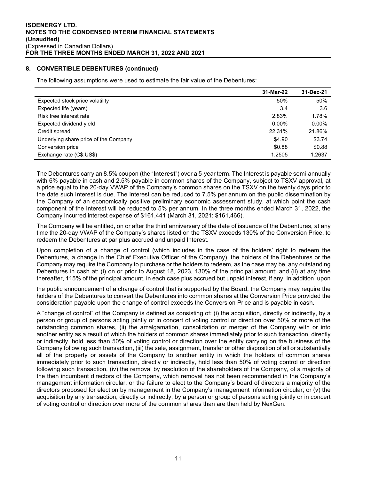#### **8. CONVERTIBLE DEBENTURES (continued)**

The following assumptions were used to estimate the fair value of the Debentures:

|                                       | 31-Mar-22 | 31-Dec-21 |
|---------------------------------------|-----------|-----------|
| Expected stock price volatility       | 50%       | 50%       |
| Expected life (years)                 | 3.4       | 3.6       |
| Risk free interest rate               | 2.83%     | 1.78%     |
| Expected dividend yield               | $0.00\%$  | $0.00\%$  |
| Credit spread                         | 22.31%    | 21.86%    |
| Underlying share price of the Company | \$4.90    | \$3.74    |
| Conversion price                      | \$0.88    | \$0.88    |
| Exchange rate (C\$:US\$)              | 1.2505    | 1.2637    |

The Debentures carry an 8.5% coupon (the "**Interest**") over a 5-year term. The Interest is payable semi-annually with 6% payable in cash and 2.5% payable in common shares of the Company, subject to TSXV approval, at a price equal to the 20-day VWAP of the Company's common shares on the TSXV on the twenty days prior to the date such Interest is due. The Interest can be reduced to 7.5% per annum on the public dissemination by the Company of an economically positive preliminary economic assessment study, at which point the cash component of the Interest will be reduced to 5% per annum. In the three months ended March 31, 2022, the Company incurred interest expense of \$161,441 (March 31, 2021: \$161,466).

The Company will be entitled, on or after the third anniversary of the date of issuance of the Debentures, at any time the 20-day VWAP of the Company's shares listed on the TSXV exceeds 130% of the Conversion Price, to redeem the Debentures at par plus accrued and unpaid Interest.

Upon completion of a change of control (which includes in the case of the holders' right to redeem the Debentures, a change in the Chief Executive Officer of the Company), the holders of the Debentures or the Company may require the Company to purchase or the holders to redeem, as the case may be, any outstanding Debentures in cash at: (i) on or prior to August 18, 2023, 130% of the principal amount; and (ii) at any time thereafter, 115% of the principal amount, in each case plus accrued but unpaid interest, if any. In addition, upon

the public announcement of a change of control that is supported by the Board, the Company may require the holders of the Debentures to convert the Debentures into common shares at the Conversion Price provided the consideration payable upon the change of control exceeds the Conversion Price and is payable in cash.

A "change of control" of the Company is defined as consisting of: (i) the acquisition, directly or indirectly, by a person or group of persons acting jointly or in concert of voting control or direction over 50% or more of the outstanding common shares, (ii) the amalgamation, consolidation or merger of the Company with or into another entity as a result of which the holders of common shares immediately prior to such transaction, directly or indirectly, hold less than 50% of voting control or direction over the entity carrying on the business of the Company following such transaction, (iii) the sale, assignment, transfer or other disposition of all or substantially all of the property or assets of the Company to another entity in which the holders of common shares immediately prior to such transaction, directly or indirectly, hold less than 50% of voting control or direction following such transaction, (iv) the removal by resolution of the shareholders of the Company, of a majority of the then incumbent directors of the Company, which removal has not been recommended in the Company's management information circular, or the failure to elect to the Company's board of directors a majority of the directors proposed for election by management in the Company's management information circular; or (v) the acquisition by any transaction, directly or indirectly, by a person or group of persons acting jointly or in concert of voting control or direction over more of the common shares than are then held by NexGen.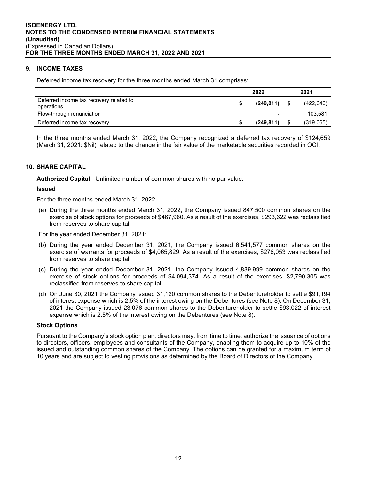## **9. INCOME TAXES**

Deferred income tax recovery for the three months ended March 31 comprises:

|                                                       | 2022      | 2021       |
|-------------------------------------------------------|-----------|------------|
| Deferred income tax recovery related to<br>operations | (249,811) | (422, 646) |
| Flow-through renunciation                             | -         | 103.581    |
| Deferred income tax recovery                          | (249.811) | (319,065)  |

In the three months ended March 31, 2022, the Company recognized a deferred tax recovery of \$124,659 (March 31, 2021: \$Nil) related to the change in the fair value of the marketable securities recorded in OCI.

## **10. SHARE CAPITAL**

**Authorized Capital** - Unlimited number of common shares with no par value.

#### **Issued**

For the three months ended March 31, 2022

(a) During the three months ended March 31, 2022, the Company issued 847,500 common shares on the exercise of stock options for proceeds of \$467,960. As a result of the exercises, \$293,622 was reclassified from reserves to share capital.

For the year ended December 31, 2021:

- (b) During the year ended December 31, 2021, the Company issued 6,541,577 common shares on the exercise of warrants for proceeds of \$4,065,829. As a result of the exercises, \$276,053 was reclassified from reserves to share capital.
- (c) During the year ended December 31, 2021, the Company issued 4,839,999 common shares on the exercise of stock options for proceeds of \$4,094,374. As a result of the exercises, \$2,790,305 was reclassified from reserves to share capital.
- (d) On June 30, 2021 the Company issued 31,120 common shares to the Debentureholder to settle \$91,194 of interest expense which is 2.5% of the interest owing on the Debentures (see Note 8). On December 31, 2021 the Company issued 23,076 common shares to the Debentureholder to settle \$93,022 of interest expense which is 2.5% of the interest owing on the Debentures (see Note 8).

#### **Stock Options**

Pursuant to the Company's stock option plan, directors may, from time to time, authorize the issuance of options to directors, officers, employees and consultants of the Company, enabling them to acquire up to 10% of the issued and outstanding common shares of the Company. The options can be granted for a maximum term of 10 years and are subject to vesting provisions as determined by the Board of Directors of the Company.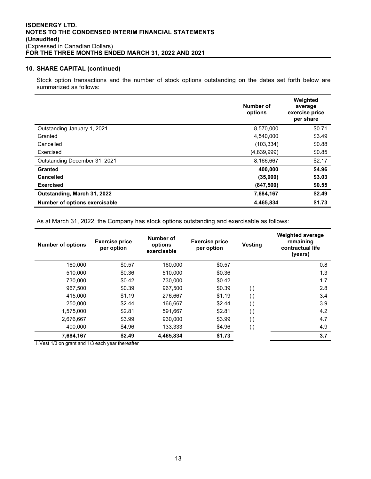## **10. SHARE CAPITAL (continued)**

Stock option transactions and the number of stock options outstanding on the dates set forth below are summarized as follows:

|                               | Number of<br>options | Weighted<br>average<br>exercise price<br>per share |
|-------------------------------|----------------------|----------------------------------------------------|
| Outstanding January 1, 2021   | 8,570,000            | \$0.71                                             |
| Granted                       | 4,540,000            | \$3.49                                             |
| Cancelled                     | (103, 334)           | \$0.88                                             |
| Exercised                     | (4,839,999)          | \$0.85                                             |
| Outstanding December 31, 2021 | 8,166,667            | \$2.17                                             |
| Granted                       | 400,000              | \$4.96                                             |
| <b>Cancelled</b>              | (35,000)             | \$3.03                                             |
| <b>Exercised</b>              | (847, 500)           | \$0.55                                             |
| Outstanding, March 31, 2022   | 7,684,167            | \$2.49                                             |
| Number of options exercisable | 4,465,834            | \$1.73                                             |

As at March 31, 2022, the Company has stock options outstanding and exercisable as follows:

| <b>Number of options</b> | <b>Exercise price</b><br>per option | Number of<br>options<br>exercisable | <b>Exercise price</b><br>per option | <b>Vesting</b> | <b>Weighted average</b><br>remaining<br>contractual life<br>(years) |
|--------------------------|-------------------------------------|-------------------------------------|-------------------------------------|----------------|---------------------------------------------------------------------|
| 160,000                  | \$0.57                              | 160.000                             | \$0.57                              |                | 0.8                                                                 |
| 510,000                  | \$0.36                              | 510,000                             | \$0.36                              |                | 1.3                                                                 |
| 730,000                  | \$0.42                              | 730.000                             | \$0.42                              |                | 1.7                                                                 |
| 967,500                  | \$0.39                              | 967,500                             | \$0.39                              | (i)            | 2.8                                                                 |
| 415,000                  | \$1.19                              | 276,667                             | \$1.19                              | (i)            | 3.4                                                                 |
| 250.000                  | \$2.44                              | 166,667                             | \$2.44                              | (i)            | 3.9                                                                 |
| 1,575,000                | \$2.81                              | 591.667                             | \$2.81                              | (i)            | 4.2                                                                 |
| 2,676,667                | \$3.99                              | 930.000                             | \$3.99                              | (i)            | 4.7                                                                 |
| 400.000                  | \$4.96                              | 133,333                             | \$4.96                              | (i)            | 4.9                                                                 |
| 7,684,167                | \$2.49                              | 4,465,834                           | \$1.73                              |                | 3.7                                                                 |

i.Vest 1/3 on grant and 1/3 each year thereafter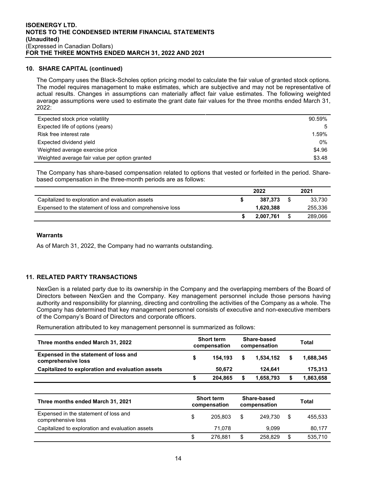## **10. SHARE CAPITAL (continued)**

The Company uses the Black-Scholes option pricing model to calculate the fair value of granted stock options. The model requires management to make estimates, which are subjective and may not be representative of actual results. Changes in assumptions can materially affect fair value estimates. The following weighted average assumptions were used to estimate the grant date fair values for the three months ended March 31, 2022:

| Expected stock price volatility                | 90.59% |
|------------------------------------------------|--------|
| Expected life of options (years)               | 5      |
| Risk free interest rate                        | 1.59%  |
| Expected dividend yield                        | 0%     |
| Weighted average exercise price                | \$4.96 |
| Weighted average fair value per option granted | \$3.48 |

The Company has share-based compensation related to options that vested or forfeited in the period. Sharebased compensation in the three-month periods are as follows:

|                                                          | 2022      | 2021    |
|----------------------------------------------------------|-----------|---------|
| Capitalized to exploration and evaluation assets         | 387.373   | 33.730  |
| Expensed to the statement of loss and comprehensive loss | 1.620.388 | 255,336 |
|                                                          | 2.007.761 | 289.066 |

#### **Warrants**

As of March 31, 2022, the Company had no warrants outstanding.

# **11. RELATED PARTY TRANSACTIONS**

NexGen is a related party due to its ownership in the Company and the overlapping members of the Board of Directors between NexGen and the Company. Key management personnel include those persons having authority and responsibility for planning, directing and controlling the activities of the Company as a whole. The Company has determined that key management personnel consists of executive and non-executive members of the Company's Board of Directors and corporate officers.

Remuneration attributed to key management personnel is summarized as follows:

| Three months ended March 31, 2022                           | <b>Short term</b><br>compensation |         | <b>Share-based</b><br>compensation |           | Total |           |
|-------------------------------------------------------------|-----------------------------------|---------|------------------------------------|-----------|-------|-----------|
| Expensed in the statement of loss and<br>comprehensive loss | \$                                | 154.193 |                                    | 1.534.152 |       | 1,688,345 |
| Capitalized to exploration and evaluation assets            |                                   | 50.672  |                                    | 124.641   |       | 175.313   |
|                                                             | S                                 | 204.865 |                                    | 1,658,793 |       | 1,863,658 |

| Three months ended March 31, 2021                           | <b>Short term</b><br>compensation |         | Share-based<br>compensation |         | Total |         |
|-------------------------------------------------------------|-----------------------------------|---------|-----------------------------|---------|-------|---------|
| Expensed in the statement of loss and<br>comprehensive loss | \$                                | 205.803 | \$                          | 249.730 | -\$   | 455.533 |
| Capitalized to exploration and evaluation assets            |                                   | 71.078  |                             | 9.099   |       | 80,177  |
|                                                             | \$                                | 276.881 | \$                          | 258.829 | \$    | 535,710 |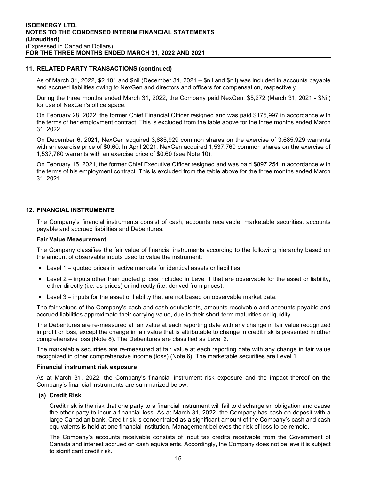#### **11. RELATED PARTY TRANSACTIONS (continued)**

As of March 31, 2022, \$2,101 and \$nil (December 31, 2021 – \$nil and \$nil) was included in accounts payable and accrued liabilities owing to NexGen and directors and officers for compensation, respectively.

During the three months ended March 31, 2022, the Company paid NexGen, \$5,272 (March 31, 2021 - \$Nil) for use of NexGen's office space.

On February 28, 2022, the former Chief Financial Officer resigned and was paid \$175,997 in accordance with the terms of her employment contract. This is excluded from the table above for the three months ended March 31, 2022.

On December 6, 2021, NexGen acquired 3,685,929 common shares on the exercise of 3,685,929 warrants with an exercise price of \$0.60. In April 2021, NexGen acquired 1,537,760 common shares on the exercise of 1,537,760 warrants with an exercise price of \$0.60 (see Note 10).

On February 15, 2021, the former Chief Executive Officer resigned and was paid \$897,254 in accordance with the terms of his employment contract. This is excluded from the table above for the three months ended March 31, 2021.

## **12. FINANCIAL INSTRUMENTS**

The Company's financial instruments consist of cash, accounts receivable, marketable securities, accounts payable and accrued liabilities and Debentures.

#### **Fair Value Measurement**

The Company classifies the fair value of financial instruments according to the following hierarchy based on the amount of observable inputs used to value the instrument:

- Level 1 quoted prices in active markets for identical assets or liabilities.
- Level 2 inputs other than quoted prices included in Level 1 that are observable for the asset or liability, either directly (i.e. as prices) or indirectly (i.e. derived from prices).
- Level 3 inputs for the asset or liability that are not based on observable market data.

The fair values of the Company's cash and cash equivalents, amounts receivable and accounts payable and accrued liabilities approximate their carrying value, due to their short-term maturities or liquidity.

The Debentures are re-measured at fair value at each reporting date with any change in fair value recognized in profit or loss, except the change in fair value that is attributable to change in credit risk is presented in other comprehensive loss (Note 8). The Debentures are classified as Level 2.

The marketable securities are re-measured at fair value at each reporting date with any change in fair value recognized in other comprehensive income (loss) (Note 6). The marketable securities are Level 1.

#### **Financial instrument risk exposure**

As at March 31, 2022, the Company's financial instrument risk exposure and the impact thereof on the Company's financial instruments are summarized below:

#### **(a) Credit Risk**

Credit risk is the risk that one party to a financial instrument will fail to discharge an obligation and cause the other party to incur a financial loss. As at March 31, 2022, the Company has cash on deposit with a large Canadian bank. Credit risk is concentrated as a significant amount of the Company's cash and cash equivalents is held at one financial institution. Management believes the risk of loss to be remote.

The Company's accounts receivable consists of input tax credits receivable from the Government of Canada and interest accrued on cash equivalents. Accordingly, the Company does not believe it is subject to significant credit risk.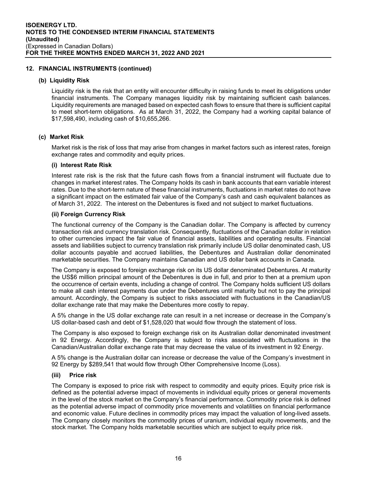#### **12. FINANCIAL INSTRUMENTS (continued)**

#### **(b) Liquidity Risk**

Liquidity risk is the risk that an entity will encounter difficulty in raising funds to meet its obligations under financial instruments. The Company manages liquidity risk by maintaining sufficient cash balances. Liquidity requirements are managed based on expected cash flows to ensure that there is sufficient capital to meet short-term obligations. As at March 31, 2022, the Company had a working capital balance of \$17,598,490, including cash of \$10,655,266.

#### **(c) Market Risk**

Market risk is the risk of loss that may arise from changes in market factors such as interest rates, foreign exchange rates and commodity and equity prices.

#### **(i) Interest Rate Risk**

Interest rate risk is the risk that the future cash flows from a financial instrument will fluctuate due to changes in market interest rates. The Company holds its cash in bank accounts that earn variable interest rates. Due to the short-term nature of these financial instruments, fluctuations in market rates do not have a significant impact on the estimated fair value of the Company's cash and cash equivalent balances as of March 31, 2022. The interest on the Debentures is fixed and not subject to market fluctuations.

#### **(ii) Foreign Currency Risk**

The functional currency of the Company is the Canadian dollar. The Company is affected by currency transaction risk and currency translation risk. Consequently, fluctuations of the Canadian dollar in relation to other currencies impact the fair value of financial assets, liabilities and operating results. Financial assets and liabilities subject to currency translation risk primarily include US dollar denominated cash, US dollar accounts payable and accrued liabilities, the Debentures and Australian dollar denominated marketable securities. The Company maintains Canadian and US dollar bank accounts in Canada.

The Company is exposed to foreign exchange risk on its US dollar denominated Debentures. At maturity the US\$6 million principal amount of the Debentures is due in full, and prior to then at a premium upon the occurrence of certain events, including a change of control. The Company holds sufficient US dollars to make all cash interest payments due under the Debentures until maturity but not to pay the principal amount. Accordingly, the Company is subject to risks associated with fluctuations in the Canadian/US dollar exchange rate that may make the Debentures more costly to repay.

A 5% change in the US dollar exchange rate can result in a net increase or decrease in the Company's US dollar-based cash and debt of \$1,528,020 that would flow through the statement of loss.

The Company is also exposed to foreign exchange risk on its Australian dollar denominated investment in 92 Energy. Accordingly, the Company is subject to risks associated with fluctuations in the Canadian/Australian dollar exchange rate that may decrease the value of its investment in 92 Energy.

A 5% change is the Australian dollar can increase or decrease the value of the Company's investment in 92 Energy by \$289,541 that would flow through Other Comprehensive Income (Loss).

#### **(iii) Price risk**

The Company is exposed to price risk with respect to commodity and equity prices. Equity price risk is defined as the potential adverse impact of movements in individual equity prices or general movements in the level of the stock market on the Company's financial performance. Commodity price risk is defined as the potential adverse impact of commodity price movements and volatilities on financial performance and economic value. Future declines in commodity prices may impact the valuation of long-lived assets. The Company closely monitors the commodity prices of uranium, individual equity movements, and the stock market. The Company holds marketable securities which are subject to equity price risk.